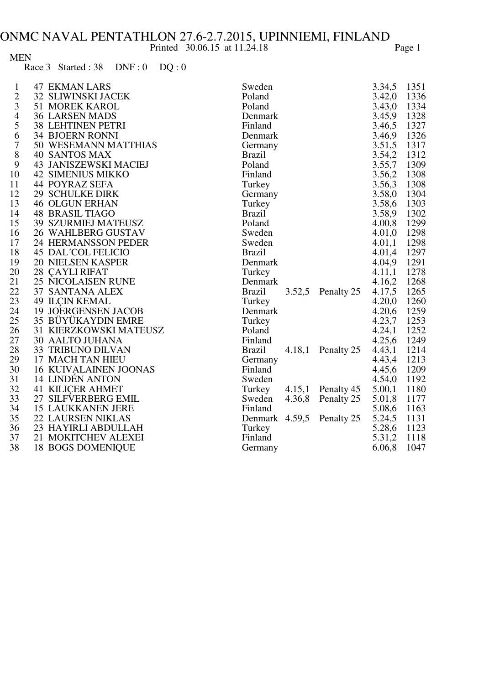## Printed 30.06.15 at 11.24.18 Page 1

| <b>MEN</b> |                                            |  |
|------------|--------------------------------------------|--|
|            | Race $3$ Started : $38$ DNF : $0$ DQ : $0$ |  |

| $\mathbf{1}$            | <b>47 EKMAN LARS</b>         | Sweden                             | 3.34,5 | 1351 |
|-------------------------|------------------------------|------------------------------------|--------|------|
| $\overline{\mathbf{c}}$ | 32 SLIWINSKI JACEK           | Poland                             | 3.42,0 | 1336 |
| 3                       | <b>51 MOREK KAROL</b>        | Poland                             | 3.43,0 | 1334 |
| $\overline{4}$          | <b>36 LARSEN MADS</b>        | Denmark                            | 3.45,9 | 1328 |
| 5                       | <b>38 LEHTINEN PETRI</b>     | Finland                            | 3.46,5 | 1327 |
| 6                       | <b>34 BJOERN RONNI</b>       | Denmark                            | 3.46,9 | 1326 |
| 7                       | 50 WESEMANN MATTHIAS         | Germany                            | 3.51,5 | 1317 |
| 8                       | <b>40 SANTOS MAX</b>         | <b>Brazil</b>                      | 3.54,2 | 1312 |
| 9                       | <b>43 JANISZEWSKI MACIEJ</b> | Poland                             | 3.55,7 | 1309 |
| 10                      | <b>42 SIMENIUS MIKKO</b>     | Finland                            | 3.56,2 | 1308 |
| 11                      | <b>44 POYRAZ SEFA</b>        | Turkey                             | 3.56,3 | 1308 |
| 12                      | <b>29 SCHULKE DIRK</b>       | Germany                            | 3.58,0 | 1304 |
| 13                      | <b>46 OLGUN ERHAN</b>        | Turkey                             | 3.58,6 | 1303 |
| 14                      | <b>48 BRASIL TIAGO</b>       | <b>Brazil</b>                      | 3.58,9 | 1302 |
| 15                      | <b>39 SZURMIEJ MATEUSZ</b>   | Poland                             | 4.00,8 | 1299 |
| 16                      | 26 WAHLBERG GUSTAV           | Sweden                             | 4.01,0 | 1298 |
| 17                      | 24 HERMANSSON PEDER          | Sweden                             | 4.01,1 | 1298 |
| 18                      | <b>45 DAL COL FELICIO</b>    | <b>Brazil</b>                      | 4.01,4 | 1297 |
| 19                      | <b>20 NIELSEN KASPER</b>     | Denmark                            | 4.04,9 | 1291 |
| 20                      | <b>28 CAYLI RIFAT</b>        | Turkey                             | 4.11,1 | 1278 |
| 21                      | 25 NICOLAISEN RUNE           | Denmark                            | 4.16,2 | 1268 |
| 22                      | 37 SANTANA ALEX              | 3.52,5 Penalty 25<br><b>Brazil</b> | 4.17,5 | 1265 |
| 23                      | <b>49 ILCIN KEMAL</b>        | Turkey                             | 4.20,0 | 1260 |
| 24                      | <b>19 JOERGENSEN JACOB</b>   | Denmark                            | 4.20,6 | 1259 |
| 25                      | 35 BÜYÜKAYDIN EMRE           | Turkey                             | 4.23,7 | 1253 |
| 26                      | 31 KIERZKOWSKI MATEUSZ       | Poland                             | 4.24,1 | 1252 |
| 27                      | <b>30 AALTO JUHANA</b>       | Finland                            | 4.25,6 | 1249 |
| 28                      | 33 TRIBUNO DILVAN            | 4.18,1 Penalty 25<br><b>Brazil</b> | 4.43,1 | 1214 |
| 29                      | 17 MACH TAN HIEU             | Germany                            | 4.43,4 | 1213 |
| 30                      | <b>16 KUIVALAINEN JOONAS</b> | Finland                            | 4.45,6 | 1209 |
| 31                      | 14 LINDÉN ANTON              | Sweden                             | 4.54,0 | 1192 |
| 32                      | <b>41 KILICER AHMET</b>      | Turkey 4.15,1 Penalty 45           | 5.00,1 | 1180 |
| 33                      | 27 SILFVERBERG EMIL          | 4.36,8 Penalty 25<br>Sweden        | 5.01,8 | 1177 |
| 34                      | <b>15 LAUKKANEN JERE</b>     | Finland                            | 5.08,6 | 1163 |
| 35                      | 22 LAURSEN NIKLAS            | Denmark 4.59,5 Penalty 25          | 5.24,5 | 1131 |
| 36                      | 23 HAYIRLI ABDULLAH          | Turkey                             | 5.28,6 | 1123 |
| 37                      | 21 MOKITCHEV ALEXEI          | Finland                            | 5.31,2 | 1118 |
| 38                      | <b>18 BOGS DOMENIQUE</b>     | Germany                            | 6.06,8 | 1047 |
|                         |                              |                                    |        |      |